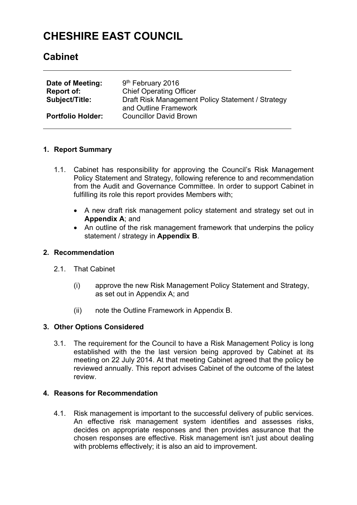# **CHESHIRE EAST COUNCIL**

## **Cabinet**

| Date of Meeting:<br>Report of:<br><b>Subject/Title:</b> | 9 <sup>th</sup> February 2016<br><b>Chief Operating Officer</b><br>Draft Risk Management Policy Statement / Strategy<br>and Outline Framework |
|---------------------------------------------------------|-----------------------------------------------------------------------------------------------------------------------------------------------|
| <b>Portfolio Holder:</b>                                | <b>Councillor David Brown</b>                                                                                                                 |

## **1. Report Summary**

- 1.1. Cabinet has responsibility for approving the Council's Risk Management Policy Statement and Strategy, following reference to and recommendation from the Audit and Governance Committee. In order to support Cabinet in fulfilling its role this report provides Members with:
	- A new draft risk management policy statement and strategy set out in **Appendix A**; and
	- An outline of the risk management framework that underpins the policy statement / strategy in **Appendix B**.

### **2. Recommendation**

- 2.1. That Cabinet
	- (i) approve the new Risk Management Policy Statement and Strategy, as set out in Appendix A; and
	- (ii) note the Outline Framework in Appendix B.

### **3. Other Options Considered**

3.1. The requirement for the Council to have a Risk Management Policy is long established with the the last version being approved by Cabinet at its meeting on 22 July 2014. At that meeting Cabinet agreed that the policy be reviewed annually. This report advises Cabinet of the outcome of the latest review.

## **4. Reasons for Recommendation**

4.1. Risk management is important to the successful delivery of public services. An effective risk management system identifies and assesses risks, decides on appropriate responses and then provides assurance that the chosen responses are effective. Risk management isn't just about dealing with problems effectively; it is also an aid to improvement.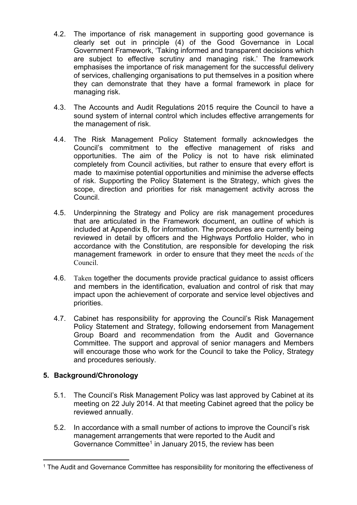- 4.2. The importance of risk management in supporting good governance is clearly set out in principle (4) of the Good Governance in Local Government Framework, 'Taking informed and transparent decisions which are subject to effective scrutiny and managing risk.' The framework emphasises the importance of risk management for the successful delivery of services, challenging organisations to put themselves in a position where they can demonstrate that they have a formal framework in place for managing risk.
- 4.3. The Accounts and Audit Regulations 2015 require the Council to have a sound system of internal control which includes effective arrangements for the management of risk.
- 4.4. The Risk Management Policy Statement formally acknowledges the Council's commitment to the effective management of risks and opportunities. The aim of the Policy is not to have risk eliminated completely from Council activities, but rather to ensure that every effort is made to maximise potential opportunities and minimise the adverse effects of risk. Supporting the Policy Statement is the Strategy, which gives the scope, direction and priorities for risk management activity across the Council.
- 4.5. Underpinning the Strategy and Policy are risk management procedures that are articulated in the Framework document, an outline of which is included at Appendix B, for information. The procedures are currently being reviewed in detail by officers and the Highways Portfolio Holder, who in accordance with the Constitution, are responsible for developing the risk management framework in order to ensure that they meet the needs of the Council.
- 4.6. Taken together the documents provide practical guidance to assist officers and members in the identification, evaluation and control of risk that may impact upon the achievement of corporate and service level objectives and priorities.
- 4.7. Cabinet has responsibility for approving the Council's Risk Management Policy Statement and Strategy, following endorsement from Management Group Board and recommendation from the Audit and Governance Committee. The support and approval of senior managers and Members will encourage those who work for the Council to take the Policy, Strategy and procedures seriously.

## **5. Background/Chronology**

- 5.1. The Council's Risk Management Policy was last approved by Cabinet at its meeting on 22 July 2014. At that meeting Cabinet agreed that the policy be reviewed annually.
- 5.2. In accordance with a small number of actions to improve the Council's risk management arrangements that were reported to the Audit and Governance Committee<sup>1</sup> in January 2015, the review has been

<sup>&</sup>lt;sup>1</sup> The Audit and Governance Committee has responsibility for monitoring the effectiveness of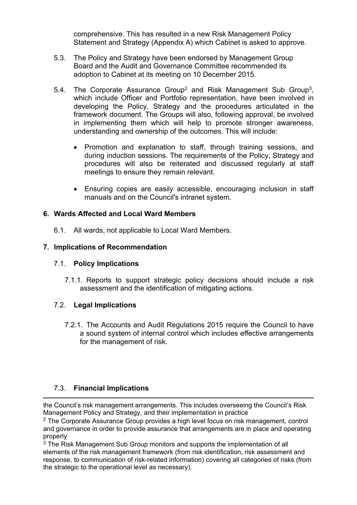comprehensive. This has resulted in a new Risk Management Policy Statement and Strategy (Appendix A) which Cabinet is asked to approve.

- 5.3. The Policy and Strategy have been endorsed by Management Group Board and the Audit and Governance Committee recommended its adoption to Cabinet at its meeting on 10 December 2015.
- 5.4. The Corporate Assurance Group<sup>2</sup> and Risk Management Sub Group<sup>3</sup>, which include Officer and Portfolio representation, have been involved in developing the Policy, Strategy and the procedures articulated in the framework document. The Groups will also, following approval, be involved in implementing them which will help to promote stronger awareness, understanding and ownership of the outcomes. This will include:
	- Promotion and explanation to staff, through training sessions, and during induction sessions. The requirements of the Policy, Strategy and procedures will also be reiterated and discussed regularly at staff meetings to ensure they remain relevant.
	- Ensuring copies are easily accessible, encouraging inclusion in staff manuals and on the Council's intranet system.

## **6. Wards Affected and Local Ward Members**

6.1. All wards, not applicable to Local Ward Members.

## **7. Implications of Recommendation**

## 7.1. **Policy Implications**

7.1.1. Reports to support strategic policy decisions should include a risk assessment and the identification of mitigating actions.

## 7.2. **Legal Implications**

7.2.1. The Accounts and Audit Regulations 2015 require the Council to have a sound system of internal control which includes effective arrangements for the management of risk.

## 7.3. **Financial Implications**

the Council's risk management arrangements. This includes overseeing the Council's Risk Management Policy and Strategy, and their implementation in practice

 $2$  The Corporate Assurance Group provides a high level focus on risk management, control and governance in order to provide assurance that arrangements are in place and operating properly

 $3$  The Risk Management Sub Group monitors and supports the implementation of all elements of the risk management framework (from risk identification, risk assessment and response, to communication of risk-related information) covering all categories of risks (from the strategic to the operational level as necessary).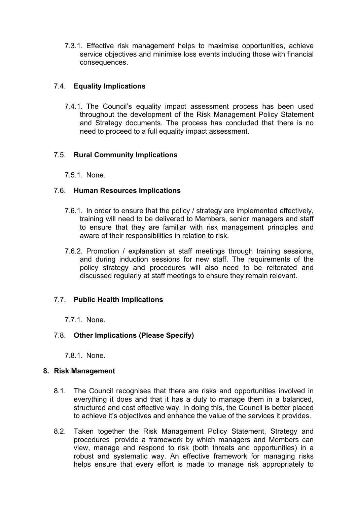7.3.1. Effective risk management helps to maximise opportunities, achieve service objectives and minimise loss events including those with financial consequences.

## 7.4. **Equality Implications**

7.4.1. The Council's equality impact assessment process has been used throughout the development of the Risk Management Policy Statement and Strategy documents. The process has concluded that there is no need to proceed to a full equality impact assessment.

## 7.5. **Rural Community Implications**

7.5.1. None.

## 7.6. **Human Resources Implications**

- 7.6.1. In order to ensure that the policy / strategy are implemented effectively, training will need to be delivered to Members, senior managers and staff to ensure that they are familiar with risk management principles and aware of their responsibilities in relation to risk.
- 7.6.2. Promotion / explanation at staff meetings through training sessions, and during induction sessions for new staff. The requirements of the policy strategy and procedures will also need to be reiterated and discussed regularly at staff meetings to ensure they remain relevant.

## 7.7. **Public Health Implications**

7.7.1. None.

## 7.8. **Other Implications (Please Specify)**

7.8.1. None.

### **8. Risk Management**

- 8.1. The Council recognises that there are risks and opportunities involved in everything it does and that it has a duty to manage them in a balanced, structured and cost effective way. In doing this, the Council is better placed to achieve it's objectives and enhance the value of the services it provides.
- 8.2. Taken together the Risk Management Policy Statement, Strategy and procedures provide a framework by which managers and Members can view, manage and respond to risk (both threats and opportunities) in a robust and systematic way. An effective framework for managing risks helps ensure that every effort is made to manage risk appropriately to